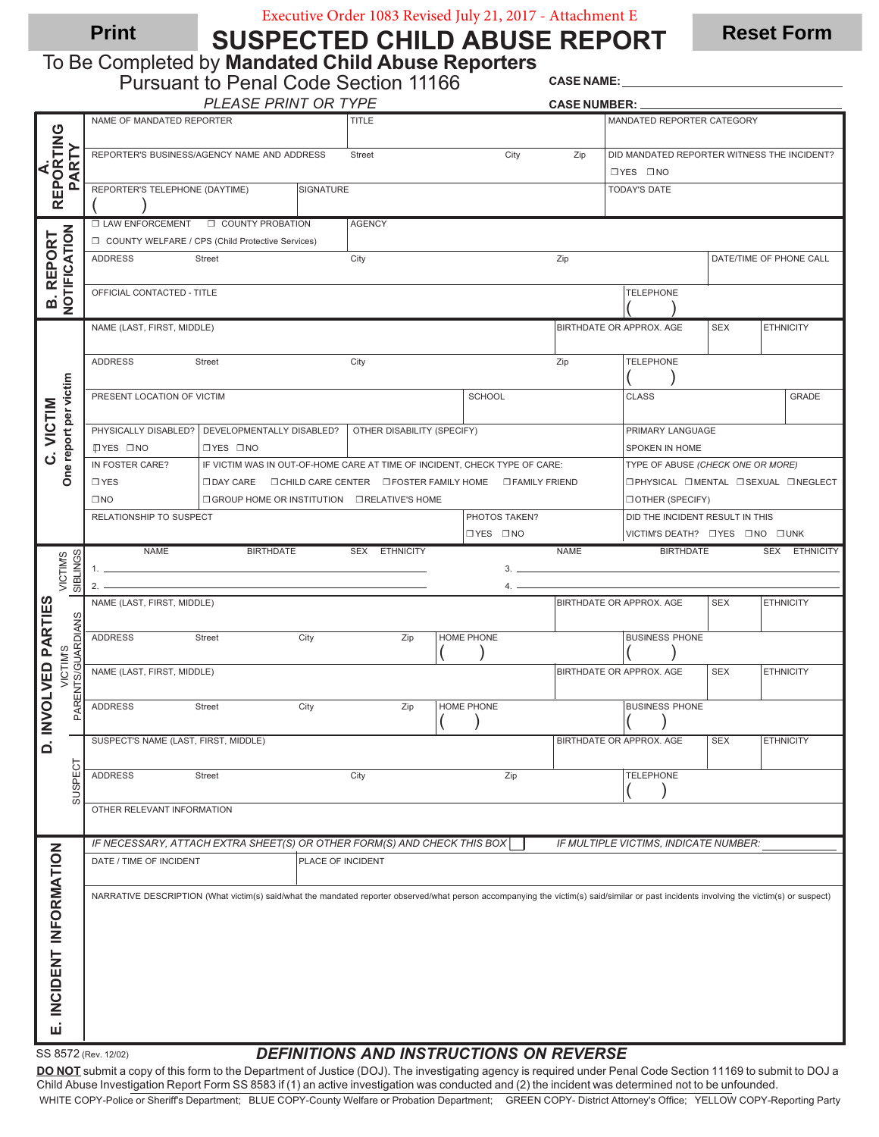# Executive Order 1083 Revised July 21, 2017 - Attachment E

SUSPECTED CHILD ABUSE REPORT **Print SUSPECTED CHILD ABLISE REPORT** Reset Form

To Be Completed by Mandated Child Abuse Reporters

|                                     | <b>Pursuant to Penal Code Section 11166</b>                                                                                                                                              |                            |                   |                |                          |                                                                                                                                                                                                                                                                                                                        |                                                            | <b>CASE NAME:</b>                                          |            |                  |  |
|-------------------------------------|------------------------------------------------------------------------------------------------------------------------------------------------------------------------------------------|----------------------------|-------------------|----------------|--------------------------|------------------------------------------------------------------------------------------------------------------------------------------------------------------------------------------------------------------------------------------------------------------------------------------------------------------------|------------------------------------------------------------|------------------------------------------------------------|------------|------------------|--|
|                                     |                                                                                                                                                                                          | PLEASE PRINT OR TYPE       |                   |                |                          |                                                                                                                                                                                                                                                                                                                        | <b>CASE NUMBER:</b>                                        |                                                            |            |                  |  |
| REPORTING<br>PARTY<br>⋖             | NAME OF MANDATED REPORTER                                                                                                                                                                |                            |                   | <b>TITLE</b>   |                          |                                                                                                                                                                                                                                                                                                                        |                                                            | MANDATED REPORTER CATEGORY                                 |            |                  |  |
|                                     | REPORTER'S BUSINESS/AGENCY NAME AND ADDRESS                                                                                                                                              |                            |                   | City<br>Street |                          |                                                                                                                                                                                                                                                                                                                        | Zip                                                        | DID MANDATED REPORTER WITNESS THE INCIDENT?<br>OYES ONO    |            |                  |  |
|                                     | REPORTER'S TELEPHONE (DAYTIME)                                                                                                                                                           |                            |                   |                |                          | <b>TODAY'S DATE</b>                                                                                                                                                                                                                                                                                                    |                                                            |                                                            |            |                  |  |
| NOTIFICATION<br><b>B. REPORT</b>    | <b>D LAW ENFORCEMENT</b>                                                                                                                                                                 | <b>D</b> COUNTY PROBATION  |                   | <b>AGENCY</b>  |                          |                                                                                                                                                                                                                                                                                                                        |                                                            |                                                            |            |                  |  |
|                                     | COUNTY WELFARE / CPS (Child Protective Services)                                                                                                                                         |                            |                   |                |                          |                                                                                                                                                                                                                                                                                                                        |                                                            |                                                            |            |                  |  |
|                                     | <b>ADDRESS</b><br><b>Street</b>                                                                                                                                                          |                            | City              |                |                          | Zip                                                                                                                                                                                                                                                                                                                    |                                                            | DATE/TIME OF PHONE CALL                                    |            |                  |  |
|                                     | <b>TELEPHONE</b><br>OFFICIAL CONTACTED - TITLE                                                                                                                                           |                            |                   |                |                          |                                                                                                                                                                                                                                                                                                                        |                                                            |                                                            |            |                  |  |
|                                     | NAME (LAST, FIRST, MIDDLE)                                                                                                                                                               |                            |                   |                |                          |                                                                                                                                                                                                                                                                                                                        |                                                            | BIRTHDATE OR APPROX. AGE<br><b>SEX</b><br><b>ETHNICITY</b> |            |                  |  |
| One report per victim<br>C. VICTIM  | <b>ADDRESS</b><br><b>Street</b>                                                                                                                                                          | City                       |                   |                | Zip                      | <b>TELEPHONE</b>                                                                                                                                                                                                                                                                                                       |                                                            |                                                            |            |                  |  |
|                                     | PRESENT LOCATION OF VICTIM                                                                                                                                                               |                            | SCHOOL            |                |                          |                                                                                                                                                                                                                                                                                                                        | <b>CLASS</b><br><b>GRADE</b>                               |                                                            |            |                  |  |
|                                     | PHYSICALLY DISABLED?   DEVELOPMENTALLY DISABLED?<br><b>IDYES DNO</b><br><b>OYES ONO</b>                                                                                                  | OTHER DISABILITY (SPECIFY) |                   |                |                          | PRIMARY LANGUAGE<br>SPOKEN IN HOME                                                                                                                                                                                                                                                                                     |                                                            |                                                            |            |                  |  |
|                                     | IN FOSTER CARE?<br>IF VICTIM WAS IN OUT-OF-HOME CARE AT TIME OF INCIDENT, CHECK TYPE OF CARE:<br>TYPE OF ABUSE (CHECK ONE OR MORE)                                                       |                            |                   |                |                          |                                                                                                                                                                                                                                                                                                                        |                                                            |                                                            |            |                  |  |
|                                     | $\square$ YES<br><b>O PHYSICAL O MENTAL O SEXUAL O NEGLECT</b><br><b>□ DAY CARE □ CHILD CARE CENTER □ FOSTER FAMILY HOME □ FAMILY FRIEND</b>                                             |                            |                   |                |                          |                                                                                                                                                                                                                                                                                                                        |                                                            |                                                            |            |                  |  |
|                                     | $\square$ NO<br>□ GROUP HOME OR INSTITUTION □ RELATIVE'S HOME<br>RELATIONSHIP TO SUSPECT<br>PHOTOS TAKEN?                                                                                |                            |                   |                |                          |                                                                                                                                                                                                                                                                                                                        |                                                            | <b>DOTHER (SPECIFY)</b><br>DID THE INCIDENT RESULT IN THIS |            |                  |  |
|                                     |                                                                                                                                                                                          |                            |                   |                |                          | OYES ONO                                                                                                                                                                                                                                                                                                               |                                                            | VICTIM'S DEATH? O YES ONO O UNK                            |            |                  |  |
|                                     | <b>NAME</b>                                                                                                                                                                              | <b>BIRTHDATE</b>           |                   | SEX ETHNICITY  |                          |                                                                                                                                                                                                                                                                                                                        | <b>NAME</b>                                                | <b>BIRTHDATE</b>                                           |            | SEX ETHNICITY    |  |
| VICTIM'S                            | 1.                                                                                                                                                                                       |                            |                   |                |                          | $3.$ $\frac{1}{2}$ $\frac{1}{2}$ $\frac{1}{2}$ $\frac{1}{2}$ $\frac{1}{2}$ $\frac{1}{2}$ $\frac{1}{2}$ $\frac{1}{2}$ $\frac{1}{2}$ $\frac{1}{2}$ $\frac{1}{2}$ $\frac{1}{2}$ $\frac{1}{2}$ $\frac{1}{2}$ $\frac{1}{2}$ $\frac{1}{2}$ $\frac{1}{2}$ $\frac{1}{2}$ $\frac{1}{2}$ $\frac{1}{2}$ $\frac{1}{2}$ $\frac{1}{$ |                                                            |                                                            |            |                  |  |
| SIBLINGS                            | 2.                                                                                                                                                                                       |                            |                   |                |                          | $4. -$                                                                                                                                                                                                                                                                                                                 |                                                            |                                                            |            |                  |  |
|                                     | NAME (LAST, FIRST, MIDDLE)                                                                                                                                                               |                            |                   |                |                          |                                                                                                                                                                                                                                                                                                                        | BIRTHDATE OR APPROX. AGE<br><b>SEX</b><br><b>ETHNICITY</b> |                                                            |            |                  |  |
| <b>PARTIES</b><br>PARENTS/GUARDIANS | <b>ADDRESS</b><br><b>Street</b>                                                                                                                                                          |                            | City              | Zip            | HOME PHONE               |                                                                                                                                                                                                                                                                                                                        |                                                            | <b>BUSINESS PHONE</b>                                      |            |                  |  |
| VICTIM'S<br>VOLVED                  | NAME (LAST, FIRST, MIDDLE)                                                                                                                                                               |                            |                   |                |                          |                                                                                                                                                                                                                                                                                                                        |                                                            | BIRTHDATE OR APPROX. AGE<br><b>SEX</b><br><b>ETHNICITY</b> |            |                  |  |
|                                     | <b>ADDRESS</b><br>Street                                                                                                                                                                 |                            | City              | Zip            | HOME PHONE<br>$\sqrt{ }$ |                                                                                                                                                                                                                                                                                                                        |                                                            | <b>BUSINESS PHONE</b><br>$\sqrt{2}$                        |            |                  |  |
| D. IN'                              | SUSPECT'S NAME (LAST, FIRST, MIDDLE)                                                                                                                                                     |                            |                   |                |                          |                                                                                                                                                                                                                                                                                                                        |                                                            | BIRTHDATE OR APPROX. AGE                                   | <b>SEX</b> | <b>ETHNICITY</b> |  |
|                                     |                                                                                                                                                                                          |                            |                   |                |                          |                                                                                                                                                                                                                                                                                                                        |                                                            |                                                            |            |                  |  |
| <b>SUSPECT</b>                      | <b>ADDRESS</b><br><b>Street</b>                                                                                                                                                          |                            |                   | City           |                          | Zip                                                                                                                                                                                                                                                                                                                    |                                                            | <b>TELEPHONE</b>                                           |            |                  |  |
|                                     | OTHER RELEVANT INFORMATION                                                                                                                                                               |                            |                   |                |                          |                                                                                                                                                                                                                                                                                                                        |                                                            |                                                            |            |                  |  |
|                                     | IF NECESSARY, ATTACH EXTRA SHEET(S) OR OTHER FORM(S) AND CHECK THIS BOX                                                                                                                  |                            |                   |                |                          |                                                                                                                                                                                                                                                                                                                        |                                                            | IF MULTIPLE VICTIMS, INDICATE NUMBER:                      |            |                  |  |
|                                     | DATE / TIME OF INCIDENT                                                                                                                                                                  |                            | PLACE OF INCIDENT |                |                          |                                                                                                                                                                                                                                                                                                                        |                                                            |                                                            |            |                  |  |
|                                     | NARRATIVE DESCRIPTION (What victim(s) said/what the mandated reporter observed/what person accompanying the victim(s) said/similar or past incidents involving the victim(s) or suspect) |                            |                   |                |                          |                                                                                                                                                                                                                                                                                                                        |                                                            |                                                            |            |                  |  |
| INCIDENT INFORMATION                |                                                                                                                                                                                          |                            |                   |                |                          |                                                                                                                                                                                                                                                                                                                        |                                                            |                                                            |            |                  |  |
|                                     |                                                                                                                                                                                          |                            |                   |                |                          |                                                                                                                                                                                                                                                                                                                        |                                                            |                                                            |            |                  |  |
| цi                                  |                                                                                                                                                                                          |                            |                   |                |                          |                                                                                                                                                                                                                                                                                                                        |                                                            |                                                            |            |                  |  |
|                                     | SS 8572 (Rev. 12/02)                                                                                                                                                                     |                            |                   |                |                          | <b>DEFINITIONS AND INSTRUCTIONS ON REVERSE</b>                                                                                                                                                                                                                                                                         |                                                            |                                                            |            |                  |  |

DEFINITIONS AND INSTRUCTIONS ON REVERSE

DO NOT submit a copy of this form to the Department of Justice (DOJ). The investigating agency is required under Penal Code Section 11169 to submit to DOJ a Child Abuse Investigation Report Form SS 8583 if (1) an active investigation was conducted and (2) the incident was determined not to be unfounded. WHITE COPY-Police or Sheriff's Department; BLUE COPY-County Welfare or Probation Department; GREEN COPY- District Attorney's Office; YELLOW COPY-Reporting Party